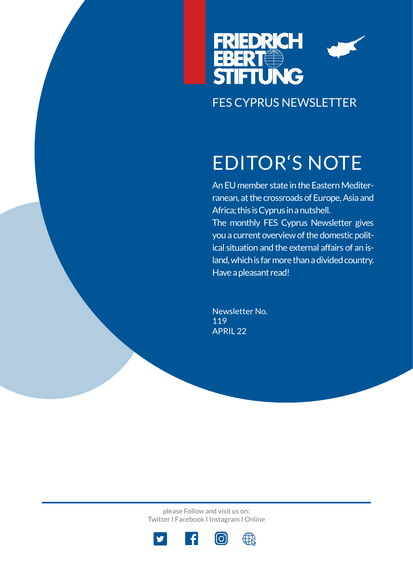

# EDITOR'S NOTE

An EU member state in the Eastern Mediterranean, at the crossroads of Europe, Asia and Africa; this is Cyprus in a nutshell. The monthly FES Cyprus Newsletter gives you a current overview of the domestic political situation and the external affairs of an island, which is far more than a divided country. Have a pleasant read!

Newsletter No. 119 APRIL 22

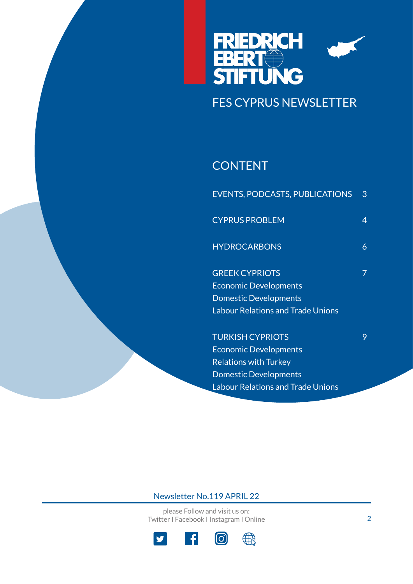

## **CONTENT**

| <b>EVENTS, PODCASTS, PUBLICATIONS</b> | 3 |
|---------------------------------------|---|
| <b>CYPRUS PROBLEM</b>                 | 4 |
| <b>HYDROCARBONS</b>                   | 6 |
| <b>GREEK CYPRIOTS</b>                 | 7 |
| <b>Economic Developments</b>          |   |
| <b>Domestic Developments</b>          |   |
| Labour Relations and Trade Unions     |   |
| <b>TURKISH CYPRIOTS</b>               | 9 |
| <b>Economic Developments</b>          |   |
| <b>Relations with Turkey</b>          |   |
| <b>Domestic Developments</b>          |   |

Labour Relations and Trade Unions

### Newsletter No.119 APRIL 22

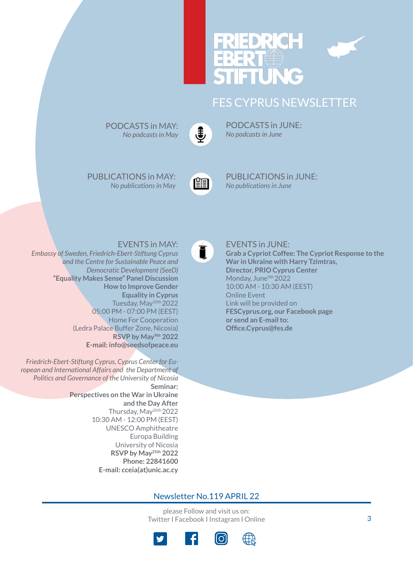



PODCASTS in JUNE: *No podcasts in June*

PUBLICATIONS in MAY:

*No publications in May*

PODCASTS in MAY: *No podcasts in May*



 $\mathbf{I}$ 

[P](https://www.fescyprus.org/publications/)UBLICATIONS in JUNE: *No publications in June*

EVENTS in JUNE:

### EVENTS in MAY:

*Embassy of Sweden, Friedrich-Ebert-Stiftung Cypr[us](https://www.fescyprus.org/events/)  and the Centre for Sustainable Peace and Democratic Development (SeeD)* **"Equality Makes Sense" Panel Discussion How to Improve Gender Equality in Cyprus** Tuesday, May10th 2022 05:00 PM - 07:00 PM (EEST) Home For Cooperation (Ledra Palace Buffer Zone, Nicosia) **RSVP by May9th 2022 E-mail: info@seedsofpeace.eu**

*Friedrich-Ebert-Stiftung Cyprus, Cyprus Center for European and International Affairs and the Department of Politics and Governance of the University of Nicosia* **Seminar: Perspectives on the War in Ukraine and the Day After** Thursday, May26th 2022 10:30 AM - 12:00 PM (EEST) UNESCO Amphitheatre Europa Building University of Nicosia **RSVP by May25th 2022 Phone: 22841600 E-mail: cceia(at)unic.ac.cy**

**Grab a Cypriot Coffee: The Cypriot Response to the War in Ukraine with Harry Tzimtras, Director, PRIO Cyprus Center** Monday, June<sup>9th</sup> 2022 10:00 AM - 10:30 AM (EEST) Online Event Link will be provided on

**FESCyprus.org, our Facebook page or send an E-mail to: Office.Cyprus@fes.de**

### Newsletter No.119 APRIL 22

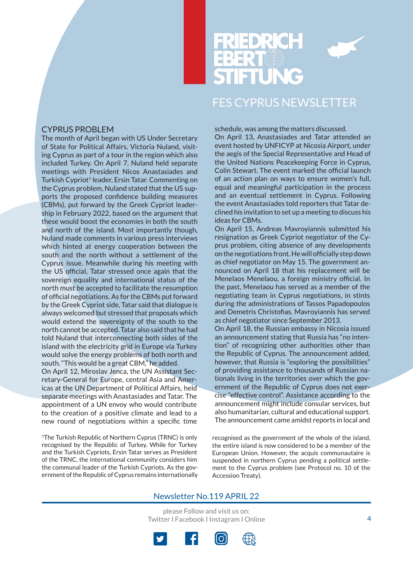

#### CYPRUS PROBLEM

The month of April began with US Under Secretary of State for Political Affairs, Victoria Nuland, visiting Cyprus as part of a tour in the region which also included Turkey. On April 7, Nuland held separate meetings with President Nicos Anastasiades and Turkish Cypriot<sup>1</sup> leader, Ersin Tatar. Commenting on the Cyprus problem, Nuland stated that the US supports the proposed confidence building measures (CBMs), put forward by the Greek Cypriot leadership in February 2022, based on the argument that these would boost the economies in both the south and north of the island. Most importantly though, Nuland made comments in various press interviews which hinted at energy cooperation between the south and the north without a settlement of the Cyprus issue. Meanwhile during his meeting with the US official, Tatar stressed once again that the sovereign equality and international status of the north must be accepted to facilitate the resumption of official negotiations. As for the CBMs put forward by the Greek Cypriot side, Tatar said that dialogue is always welcomed but stressed that proposals which would extend the sovereignty of the south to the north cannot be accepted. Tatar also said that he had told Nuland that interconnecting both sides of the island with the electricity grid in Europe via Turkey would solve the energy problems of both north and south. "This would be a great CBM," he added.

On April 12, Miroslav Jenca, the UN Assistant Secretary-General for Europe, central Asia and Americas at the UN Department of Political Affairs, held separate meetings with Anastasiades and Tatar. The appointment of a UN envoy who would contribute to the creation of a positive climate and lead to a new round of negotiations within a specific time

1The Turkish Republic of Northern Cyprus (TRNC) is only recognised by the Republic of Turkey. While for Turkey and the Turkish Cypriots, Ersin Tatar serves as President of the TRNC, the international community considers him the communal leader of the Turkish Cypriots. As the government of the Republic of Cyprus remains internationally

schedule, was among the matters discussed.

On April 13, Anastasiades and Tatar attended an event hosted by UNFICYP at Nicosia Airport, under the aegis of the Special Representative and Head of the United Nations Peacekeeping Force in Cyprus, Colin Stewart. The event marked the official launch of an action plan on ways to ensure women's full, equal and meaningful participation in the process and an eventual settlement in Cyprus. Following the event Anastasiades told reporters that Tatar declined his invitation to set up a meeting to discuss his ideas for CBMs.

On April 15, Andreas Mavroyiannis submitted his resignation as Greek Cypriot negotiator of the Cyprus problem, citing absence of any developments on the negotiations front. He will officially step down as chief negotiator on May 15. The government announced on April 18 that his replacement will be Menelaos Menelaou, a foreign ministry official. In the past, Menelaou has served as a member of the negotiating team in Cyprus negotiations, in stints during the administrations of Tassos Papadopoulos and Demetris Christofias. Mavroyiannis has served as chief negotiator since September 2013.

On April 18, the Russian embassy in Nicosia issued an announcement stating that Russia has "no intention" of recognizing other authorities other than the Republic of Cyprus. The announcement added, however, that Russia is "exploring the possibilities" of providing assistance to thousands of Russian nationals living in the territories over which the government of the Republic of Cyprus does not exercise "effective control". Assistance according to the announcement might include consular services, but also humanitarian, cultural and educational support. The announcement came amidst reports in local and

recognised as the government of the whole of the island, the entire island is now considered to be a member of the European Union. However, the acquis communautaire is suspended in northern Cyprus pending a political settlement to the Cyprus problem (see Protocol no. 10 of the Accession Treaty).

### Newsletter No.119 APRIL 22



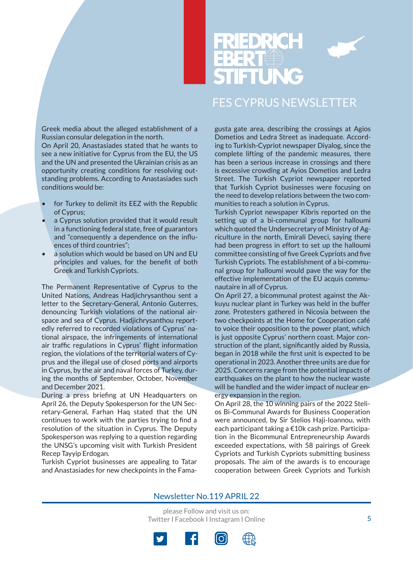



Greek media about the alleged establishment of a Russian consular delegation in the north.

On April 20, Anastasiades stated that he wants to see a new initiative for Cyprus from the EU, the US and the UN and presented the Ukrainian crisis as an opportunity creating conditions for resolving outstanding problems. According to Anastasiades such conditions would be:

- for Turkey to delimit its EEZ with the Republic of Cyprus;
- a Cyprus solution provided that it would result in a functioning federal state, free of guarantors and "consequently a dependence on the influences of third countries";
- a solution which would be based on UN and EU principles and values, for the benefit of both Greek and Turkish Cypriots.

The Permanent Representative of Cyprus to the United Nations, Andreas Hadjichrysanthou sent a letter to the Secretary-General, Antonio Guterres, denouncing Turkish violations of the national airspace and sea of Cyprus. Hadjichrysanthou reportedly referred to recorded violations of Cyprus' national airspace, the infringements of international air traffic regulations in Cyprus' flight information region, the violations of the territorial waters of Cyprus and the illegal use of closed ports and airports in Cyprus, by the air and naval forces of Turkey, during the months of September, October, November and December 2021.

During a press briefing at UN Headquarters on April 26, the Deputy Spokesperson for the UN Secretary-General, Farhan Haq stated that the UN continues to work with the parties trying to find a resolution of the situation in Cyprus. The Deputy Spokesperson was replying to a question regarding the UNSG's upcoming visit with Turkish President Recep Tayyip Erdogan.

Turkish Cypriot businesses are appealing to Tatar and Anastasiades for new checkpoints in the Famagusta gate area, describing the crossings at Agios Dometios and Ledra Street as inadequate. According to Turkish-Cypriot newspaper Diyalog, since the complete lifting of the pandemic measures, there has been a serious increase in crossings and there is excessive crowding at Ayios Dometios and Ledra Street. The Turkish Cypriot newspaper reported that Turkish Cypriot businesses were focusing on the need to develop relations between the two communities to reach a solution in Cyprus.

Turkish Cypriot newspaper Kibris reported on the setting up of a bi-communal group for halloumi which quoted the Undersecretary of Ministry of Agriculture in the north, Emirali Deveci, saying there had been progress in effort to set up the halloumi committee consisting of five Greek Cypriots and five Turkish Cypriots. The establishment of a bi-communal group for halloumi would pave the way for the effective implementation of the EU acquis communautaire in all of Cyprus.

On April 27, a bicommunal protest against the Akkuyu nuclear plant in Turkey was held in the buffer zone. Protesters gathered in Nicosia between the two checkpoints at the Home for Cooperation café to voice their opposition to the power plant, which is just opposite Cyprus' northern coast. Major construction of the plant, significantly aided by Russia, began in 2018 while the first unit is expected to be operational in 2023. Another three units are due for 2025. Concerns range from the potential impacts of earthquakes on the plant to how the nuclear waste will be handled and the wider impact of nuclear energy expansion in the region.

On April 28, the 10 winning pairs of the 2022 Stelios Bi-Communal Awards for Business Cooperation were announced, by Sir Stelios Haji-Ioannou, with each participant taking a €10k cash prize. Participation in the Bicommunal Entrepreneurship Awards exceeded expectations, with 58 pairings of Greek Cypriots and Turkish Cypriots submitting business proposals. The aim of the awards is to encourage cooperation between Greek Cypriots and Turkish

#### Newsletter No.119 APRIL 22

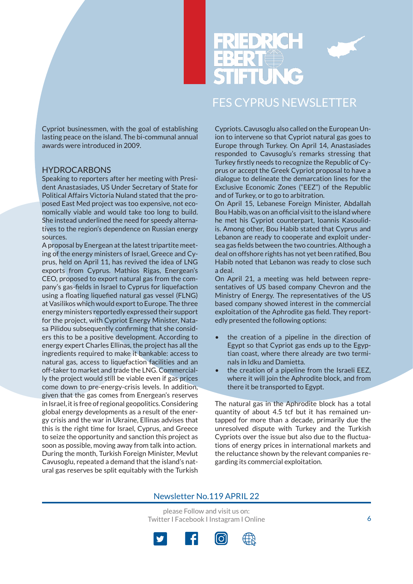



Cypriot businessmen, with the goal of establishing lasting peace on the island. The bi-communal annual awards were introduced in 2009.

#### **HYDROCARBONS**

Speaking to reporters after her meeting with President Anastasiades, US Under Secretary of State for Political Affairs Victoria Nuland stated that the proposed East Med project was too expensive, not economically viable and would take too long to build. She instead underlined the need for speedy alternatives to the region's dependence on Russian energy sources.

A proposal by Energean at the latest tripartite meeting of the energy ministers of Israel, Greece and Cyprus, held on April 11, has revived the idea of LNG exports from Cyprus. Mathios Rigas, Energean's CEO, proposed to export natural gas from the company's gas-fields in Israel to Cyprus for liquefaction using a floating liquefied natural gas vessel (FLNG) at Vasilikos which would export to Europe. The three energy ministers reportedly expressed their support for the project, with Cypriot Energy Minister, Natasa Pilidou subsequently confirming that she considers this to be a positive development. According to energy expert Charles Ellinas, the project has all the ingredients required to make it bankable: access to natural gas, access to liquefaction facilities and an off-taker to market and trade the LNG. Commercially the project would still be viable even if gas prices come down to pre-energy-crisis levels. In addition, given that the gas comes from Energean's reserves in Israel, it is free of regional geopolitics. Considering global energy developments as a result of the energy crisis and the war in Ukraine, Ellinas advises that this is the right time for Israel, Cyprus, and Greece to seize the opportunity and sanction this project as soon as possible, moving away from talk into action. During the month, Turkish Foreign Minister, Mevlut Cavusoglu, repeated a demand that the island's natural gas reserves be split equitably with the Turkish Cypriots. Cavusoglu also called on the European Union to intervene so that Cypriot natural gas goes to Europe through Turkey. On April 14, Anastasiades responded to Cavusoglu's remarks stressing that Turkey firstly needs to recognize the Republic of Cyprus or accept the Greek Cypriot proposal to have a dialogue to delineate the demarcation lines for the Exclusive Economic Zones ("EEZ") of the Republic and of Turkey, or to go to arbitration.

On April 15, Lebanese Foreign Minister, Abdallah Bou Habib, was on an official visit to the island where he met his Cypriot counterpart, Ioannis Kasoulidis. Among other, Bou Habib stated that Cyprus and Lebanon are ready to cooperate and exploit undersea gas fields between the two countries. Although a deal on offshore rights has not yet been ratified, Bou Habib noted that Lebanon was ready to close such a deal.

On April 21, a meeting was held between representatives of US based company Chevron and the Ministry of Energy. The representatives of the US based company showed interest in the commercial exploitation of the Aphrodite gas field. They reportedly presented the following options:

- the creation of a pipeline in the direction of Egypt so that Cypriot gas ends up to the Egyptian coast, where there already are two terminals in Idku and Damietta.
- the creation of a pipeline from the Israeli EEZ, where it will join the Aphrodite block, and from there it be transported to Egypt.

The natural gas in the Aphrodite block has a total quantity of about 4.5 tcf but it has remained untapped for more than a decade, primarily due the unresolved dispute with Turkey and the Turkish Cypriots over the issue but also due to the fluctuations of energy prices in international markets and the reluctance shown by the relevant companies regarding its commercial exploitation.

#### Newsletter No.119 APRIL 22

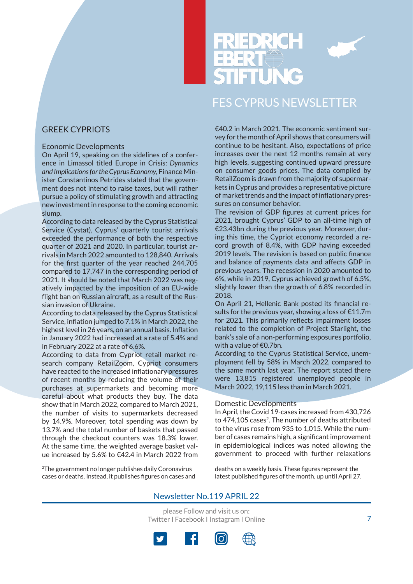

### GREEK CYPRIOTS

#### Economic Developments

On April 19, speaking on the sidelines of a conference in Limassol titled Europe in Crisis: *Dynamics and Implications for the Cyprus Economy*, Finance Minister Constantinos Petrides stated that the government does not intend to raise taxes, but will rather pursue a policy of stimulating growth and attracting new investment in response to the coming economic slump.

According to data released by the Cyprus Statistical Service (Cystat), Cyprus' quarterly tourist arrivals exceeded the performance of both the respective quarter of 2021 and 2020. In particular, tourist arrivals in March 2022 amounted to 128,840. Arrivals for the first quarter of the year reached 244,705 compared to 17,747 in the corresponding period of 2021. It should be noted that March 2022 was negatively impacted by the imposition of an EU-wide flight ban on Russian aircraft, as a result of the Russian invasion of Ukraine.

According to data released by the Cyprus Statistical Service, inflation jumped to 7.1% in March 2022, the highest level in 26 years, on an annual basis. Inflation in January 2022 had increased at a rate of 5.4% and in February 2022 at a rate of 6.6%.

According to data from Cypriot retail market research company RetailZoom, Cypriot consumers have reacted to the increased inflationary pressures of recent months by reducing the volume of their purchases at supermarkets and becoming more careful about what products they buy. The data show that in March 2022, compared to March 2021, the number of visits to supermarkets decreased by 14.9%. Moreover, total spending was down by 13.7% and the total number of baskets that passed through the checkout counters was 18.3% lower. At the same time, the weighted average basket value increased by 5.6% to €42.4 in March 2022 from

2The government no longer publishes daily Coronavirus cases or deaths. Instead, it publishes figures on cases and €40.2 in March 2021. The economic sentiment survey for the month of April shows that consumers will continue to be hesitant. Also, expectations of price increases over the next 12 months remain at very high levels, suggesting continued upward pressure on consumer goods prices. The data compiled by RetailZoom is drawn from the majority of supermarkets in Cyprus and provides a representative picture of market trends and the impact of inflationary pressures on consumer behavior.

The revision of GDP figures at current prices for 2021, brought Cyprus' GDP to an all-time high of €23.43bn during the previous year. Moreover, during this time, the Cypriot economy recorded a record growth of 8.4%, with GDP having exceeded 2019 levels. The revision is based on public finance and balance of payments data and affects GDP in previous years. The recession in 2020 amounted to 6%, while in 2019, Cyprus achieved growth of 6.5%, slightly lower than the growth of 6.8% recorded in 2018.

On April 21, Hellenic Bank posted its financial results for the previous year, showing a loss of  $E11.7m$ for 2021. This primarily reflects impairment losses related to the completion of Project Starlight, the bank's sale of a non-performing exposures portfolio, with a value of €0.7bn.

According to the Cyprus Statistical Service, unemployment fell by 58% in March 2022, compared to the same month last year. The report stated there were 13,815 registered unemployed people in March 2022, 19,115 less than in March 2021.

#### Domestic Developments

In April, the Covid 19-cases increased from 430,726 to 474,105 cases<sup>2</sup>. The number of deaths attributed to the virus rose from 935 to 1,015. While the number of cases remains high, a significant improvement in epidemiological indices was noted allowing the government to proceed with further relaxations

deaths on a weekly basis. These figures represent the latest published figures of the month, up until April 27.

### Newsletter No.119 APRIL 22

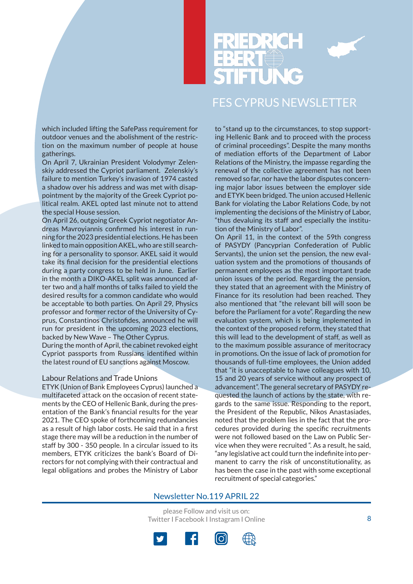

which included lifting the SafePass requirement for outdoor venues and the abolishment of the restriction on the maximum number of people at house gatherings.

On April 7, Ukrainian President Volodymyr Zelenskiy addressed the Cypriot parliament. Zelenskiy's failure to mention Turkey's invasion of 1974 casted a shadow over his address and was met with disappointment by the majority of the Greek Cypriot political realm. AKEL opted last minute not to attend the special House session.

On April 26, outgoing Greek Cypriot negotiator Andreas Mavroyiannis confirmed his interest in running for the 2023 presidential elections. He has been linked to main opposition AKEL, who are still searching for a personality to sponsor. AKEL said it would take its final decision for the presidential elections during a party congress to be held in June. Earlier in the month a DIKO-AKEL split was announced after two and a half months of talks failed to yield the desired results for a common candidate who would be acceptable to both parties. On April 29, Physics professor and former rector of the University of Cyprus, Constantinos Christofides, announced he will run for president in the upcoming 2023 elections, backed by New Wave – The Other Cyprus.

During the month of April, the cabinet revoked eight Cypriot passports from Russians identified within the latest round of EU sanctions against Moscow.

#### Labour Relations and Trade Unions

ETYK (Union of Bank Employees Cyprus) launched a multifaceted attack on the occasion of recent statements by the CEO of Hellenic Bank, during the presentation of the Bank's financial results for the year 2021. The CEO spoke of forthcoming redundancies as a result of high labor costs. He said that in a first stage there may will be a reduction in the number of staff by 300 - 350 people. In a circular issued to its members, ETYK criticizes the bank's Board of Directors for not complying with their contractual and legal obligations and probes the Ministry of Labor

to "stand up to the circumstances, to stop supporting Hellenic Bank and to proceed with the process of criminal proceedings". Despite the many months of mediation efforts of the Department of Labor Relations of the Ministry, the impasse regarding the renewal of the collective agreement has not been removed so far, nor have the labor disputes concerning major labor issues between the employer side and ETYK been bridged. The union accused Hellenic Bank for violating the Labor Relations Code, by not implementing the decisions of the Ministry of Labor, "thus devaluing its staff and especially the institution of the Ministry of Labor".

On April 11, in the context of the 59th congress of PASYDY (Pancyprian Confederation of Public Servants), the union set the pension, the new evaluation system and the promotions of thousands of permanent employees as the most important trade union issues of the period. Regarding the pension, they stated that an agreement with the Ministry of Finance for its resolution had been reached. They also mentioned that "the relevant bill will soon be before the Parliament for a vote". Regarding the new evaluation system, which is being implemented in the context of the proposed reform, they stated that this will lead to the development of staff, as well as to the maximum possible assurance of meritocracy in promotions. On the issue of lack of promotion for thousands of full-time employees, the Union added that "it is unacceptable to have colleagues with 10, 15 and 20 years of service without any prospect of advancement". The general secretary of PASYDY requested the launch of actions by the state, with regards to the same issue. Responding to the report, the President of the Republic, Nikos Anastasiades, noted that the problem lies in the fact that the procedures provided during the specific recruitments were not followed based on the Law on Public Service when they were recruited ". As a result, he said, "any legislative act could turn the indefinite into permanent to carry the risk of unconstitutionality, as has been the case in the past with some exceptional recruitment of special categories."

#### Newsletter No.119 APRIL 22

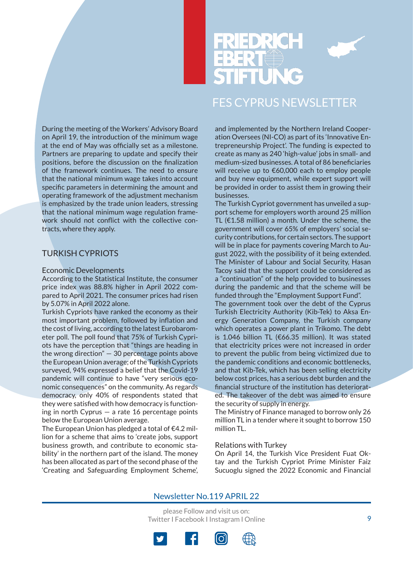



During the meeting of the Workers' Advisory Board on April 19, the introduction of the minimum wage at the end of May was officially set as a milestone. Partners are preparing to update and specify their positions, before the discussion on the finalization of the framework continues. The need to ensure that the national minimum wage takes into account specific parameters in determining the amount and operating framework of the adjustment mechanism is emphasized by the trade union leaders, stressing that the national minimum wage regulation framework should not conflict with the collective contracts, where they apply.

### TURKISH CYPRIOTS

#### Economic Developments

According to the Statistical Institute, the consumer price index was 88.8% higher in April 2022 compared to April 2021. The consumer prices had risen by 5.07% in April 2022 alone.

Turkish Cypriots have ranked the economy as their most important problem, followed by inflation and the cost of living, according to the latest Eurobarometer poll. The poll found that 75% of Turkish Cypriots have the perception that "things are heading in the wrong direction" — 30 percentage points above the European Union average; of the Turkish Cypriots surveyed, 94% expressed a belief that the Covid-19 pandemic will continue to have "very serious economic consequences" on the community. As regards democracy, only 40% of respondents stated that they were satisfied with how democracy is functioning in north Cyprus  $-$  a rate 16 percentage points below the European Union average.

The European Union has pledged a total of €4.2 million for a scheme that aims to 'create jobs, support business growth, and contribute to economic stability' in the northern part of the island. The money has been allocated as part of the second phase of the 'Creating and Safeguarding Employment Scheme',

and implemented by the Northern Ireland Cooperation Oversees (NI-CO) as part of its 'Innovative Entrepreneurship Project'. The funding is expected to create as many as 240 'high-value' jobs in small- and medium-sized businesses. A total of 86 beneficiaries will receive up to €60,000 each to employ people and buy new equipment, while expert support will be provided in order to assist them in growing their businesses.

The Turkish Cypriot government has unveiled a support scheme for employers worth around 25 million TL (€1.58 million) a month. Under the scheme, the government will cover 65% of employers' social security contributions, for certain sectors. The support will be in place for payments covering March to August 2022, with the possibility of it being extended. The Minister of Labour and Social Security, Hasan Tacoy said that the support could be considered as a "continuation" of the help provided to businesses during the pandemic and that the scheme will be funded through the "Employment Support Fund".

The government took over the debt of the Cyprus Turkish Electricity Authority (Kib-Tek) to Aksa Energy Generation Company, the Turkish company which operates a power plant in Trikomo. The debt is 1.046 billion TL (€66.35 million). It was stated that electricity prices were not increased in order to prevent the public from being victimized due to the pandemic conditions and economic bottlenecks, and that Kib-Tek, which has been selling electricity below cost prices, has a serious debt burden and the financial structure of the institution has deteriorated. The takeover of the debt was aimed to ensure the security of supply in energy.

The Ministry of Finance managed to borrow only 26 million TL in a tender where it sought to borrow 150 million TL.

#### Relations with Turkey

On April 14, the Turkish Vice President Fuat Oktay and the Turkish Cypriot Prime Minister Faiz Sucuoglu signed the 2022 Economic and Financial

#### Newsletter No.119 APRIL 22

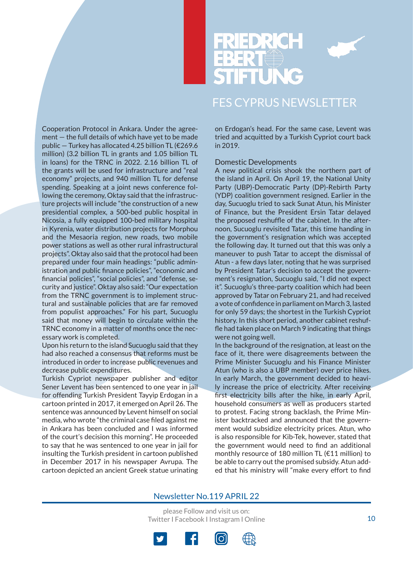

Cooperation Protocol in Ankara. Under the agreement — the full details of which have yet to be made public — Turkey has allocated 4.25 billion TL (€269.6 million) (3.2 billion TL in grants and 1.05 billion TL in loans) for the TRNC in 2022. 2.16 billion TL of the grants will be used for infrastructure and "real economy" projects, and 940 million TL for defense spending. Speaking at a joint news conference following the ceremony, Oktay said that the infrastructure projects will include "the construction of a new presidential complex, a 500-bed public hospital in Nicosia, a fully equipped 100-bed military hospital in Kyrenia, water distribution projects for Morphou and the Mesaoria region, new roads, two mobile power stations as well as other rural infrastructural projects". Oktay also said that the protocol had been prepared under four main headings: "public administration and public finance policies", "economic and financial policies", "social policies", and "defense, security and justice". Oktay also said: "Our expectation from the TRNC government is to implement structural and sustainable policies that are far removed from populist approaches." For his part, Sucuoglu said that money will begin to circulate within the TRNC economy in a matter of months once the necessary work is completed.

Upon his return to the island Sucuoglu said that they had also reached a consensus that reforms must be introduced in order to increase public revenues and decrease public expenditures.

Turkish Cypriot newspaper publisher and editor Sener Levent has been sentenced to one year in jail for offending Turkish President Tayyip Erdogan in a cartoon printed in 2017, it emerged on April 26. The sentence was announced by Levent himself on social media, who wrote "the criminal case filed against me in Ankara has been concluded and I was informed of the court's decision this morning". He proceeded to say that he was sentenced to one year in jail for insulting the Turkish president in cartoon published in December 2017 in his newspaper Avrupa. The cartoon depicted an ancient Greek statue urinating on Erdogan's head. For the same case, Levent was tried and acquitted by a Turkish Cypriot court back in 2019.

#### Domestic Developments

A new political crisis shook the northern part of the island in April. On April 19, the National Unity Party (UBP)-Democratic Party (DP)-Rebirth Party (YDP) coalition government resigned. Earlier in the day, Sucuoglu tried to sack Sunat Atun, his Minister of Finance, but the President Ersin Tatar delayed the proposed reshuffle of the cabinet. In the afternoon, Sucuoglu revisited Tatar, this time handing in the government's resignation which was accepted the following day. It turned out that this was only a maneuver to push Tatar to accept the dismissal of Atun - a few days later, noting that he was surprised by President Tatar's decision to accept the government's resignation, Sucuoglu said, "I did not expect it". Sucuoglu's three-party coalition which had been approved by Tatar on February 21, and had received a vote of confidence in parliament on March 3, lasted for only 59 days; the shortest in the Turkish Cypriot history. In this short period, another cabinet reshuffle had taken place on March 9 indicating that things were not going well.

In the background of the resignation, at least on the face of it, there were disagreements between the Prime Minister Sucuoglu and his Finance Minister Atun (who is also a UBP member) over price hikes. In early March, the government decided to heavily increase the price of electricity. After receiving first electricity bills after the hike, in early April, household consumers as well as producers started to protest. Facing strong backlash, the Prime Minister backtracked and announced that the government would subsidize electricity prices. Atun, who is also responsible for Kib-Tek, however, stated that the government would need to find an additional monthly resource of 180 million TL (€11 million) to be able to carry out the promised subsidy. Atun added that his ministry will "make every effort to find

#### Newsletter No.119 APRIL 22

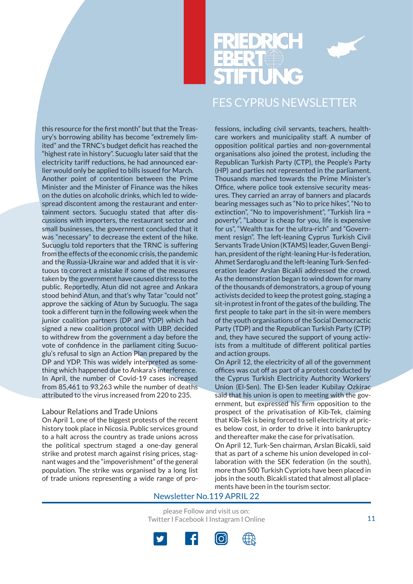

this resource for the first month" but that the Treasury's borrowing ability has become "extremely limited" and the TRNC's budget deficit has reached the "highest rate in history". Sucuoglu later said that the electricity tariff reductions, he had announced earlier would only be applied to bills issued for March. Another point of contention between the Prime Minister and the Minister of Finance was the hikes on the duties on alcoholic drinks, which led to widespread discontent among the restaurant and entertainment sectors. Sucuoglu stated that after discussions with importers, the restaurant sector and small businesses, the government concluded that it was "necessary" to decrease the extent of the hike. Sucuoglu told reporters that the TRNC is suffering from the effects of the economic crisis, the pandemic and the Russia-Ukraine war and added that it is virtuous to correct a mistake if some of the measures taken by the government have caused distress to the public. Reportedly, Atun did not agree and Ankara stood behind Atun, and that's why Tatar "could not" approve the sacking of Atun by Sucuoglu. The saga took a different turn in the following week when the junior coalition partners (DP and YDP) which had signed a new coalition protocol with UBP, decided to withdrew from the government a day before the vote of confidence in the parliament citing Sucuoglu's refusal to sign an Action Plan prepared by the DP and YDP. This was widely interpreted as something which happened due to Ankara's interference. In April, the number of Covid-19 cases increased from 85,461 to 93,263 while the number of deaths attributed to the virus increased from 220 to 235.

#### Labour Relations and Trade Unions

On April 1, one of the biggest protests of the recent history took place in Nicosia. Public services ground to a halt across the country as trade unions across the political spectrum staged a one-day general strike and protest march against rising prices, stagnant wages and the "impoverishment" of the general population. The strike was organised by a long list of trade unions representing a wide range of professions, including civil servants, teachers, healthcare workers and municipality staff. A number of opposition political parties and non-governmental organisations also joined the protest, including the Republican Turkish Party (CTP), the People's Party (HP) and parties not represented in the parliament. Thousands marched towards the Prime Minister's Office, where police took extensive security measures. They carried an array of banners and placards bearing messages such as "No to price hikes", "No to extinction", "No to impoverishment", "Turkish lira = poverty", "Labour is cheap for you, life is expensive for us", "Wealth tax for the ultra-rich" and "Government resign". The left-leaning Cyprus Turkish Civil Servants Trade Union (KTAMS) leader, Guven Bengihan, president of the right-leaning Hur-Is federation, Ahmet Serdaroglu and the left-leaning Turk-Sen federation leader Arslan Bicakli addressed the crowd. As the demonstration began to wind down for many of the thousands of demonstrators, a group of young activists decided to keep the protest going, staging a sit-in protest in front of the gates of the building. The first people to take part in the sit-in were members of the youth organisations of the Social Democractic Party (TDP) and the Republican Turkish Party (CTP) and, they have secured the support of young activists from a multitude of different political parties and action groups.

On April 12, the electricity of all of the government offices was cut off as part of a protest conducted by the Cyprus Turkish Electricity Authority Workers' Union (El-Sen). The El-Sen leader Kubilay Ozkirac said that his union is open to meeting with the government, but expressed his firm opposition to the prospect of the privatisation of Kib-Tek, claiming that Kib-Tek is being forced to sell electricity at prices below cost, in order to drive it into bankruptcy and thereafter make the case for privatisation. On April 12, Turk-Sen chairman, Arslan Bicakli, said that as part of a scheme his union developed in collaboration with the SEK federation (in the south), more than 500 Turkish Cypriots have been placed in jobs in the south. Bicakli stated that almost all placements have been in the tourism sector.

Newsletter No.119 APRIL 22